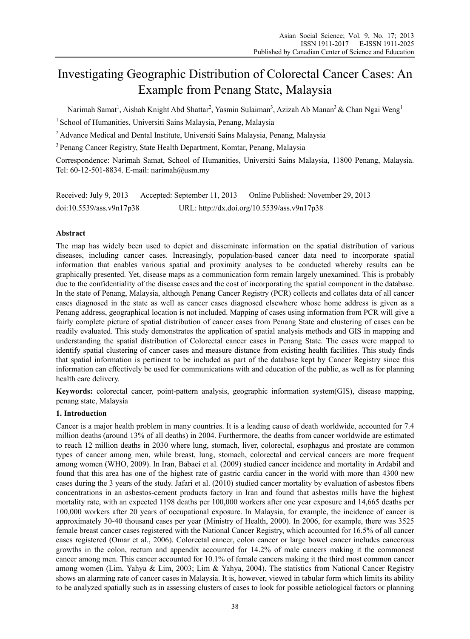# Investigating Geographic Distribution of Colorectal Cancer Cases: An Example from Penang State, Malaysia

Narimah Samat<sup>1</sup>, Aishah Knight Abd Shattar<sup>2</sup>, Yasmin Sulaiman<sup>3</sup>, Azizah Ab Manan<sup>3</sup> & Chan Ngai Weng<sup>1</sup>

<sup>1</sup> School of Humanities, Universiti Sains Malaysia, Penang, Malaysia

<sup>2</sup> Advance Medical and Dental Institute, Universiti Sains Malaysia, Penang, Malaysia

3 Penang Cancer Registry, State Health Department, Komtar, Penang, Malaysia

Correspondence: Narimah Samat, School of Humanities, Universiti Sains Malaysia, 11800 Penang, Malaysia. Tel: 60-12-501-8834. E-mail: narimah@usm.my

Received: July 9, 2013 Accepted: September 11, 2013 Online Published: November 29, 2013 doi:10.5539/ass.v9n17p38 URL: http://dx.doi.org/10.5539/ass.v9n17p38

# **Abstract**

The map has widely been used to depict and disseminate information on the spatial distribution of various diseases, including cancer cases. Increasingly, population-based cancer data need to incorporate spatial information that enables various spatial and proximity analyses to be conducted whereby results can be graphically presented. Yet, disease maps as a communication form remain largely unexamined. This is probably due to the confidentiality of the disease cases and the cost of incorporating the spatial component in the database. In the state of Penang, Malaysia, although Penang Cancer Registry (PCR) collects and collates data of all cancer cases diagnosed in the state as well as cancer cases diagnosed elsewhere whose home address is given as a Penang address, geographical location is not included. Mapping of cases using information from PCR will give a fairly complete picture of spatial distribution of cancer cases from Penang State and clustering of cases can be readily evaluated. This study demonstrates the application of spatial analysis methods and GIS in mapping and understanding the spatial distribution of Colorectal cancer cases in Penang State. The cases were mapped to identify spatial clustering of cancer cases and measure distance from existing health facilities. This study finds that spatial information is pertinent to be included as part of the database kept by Cancer Registry since this information can effectively be used for communications with and education of the public, as well as for planning health care delivery.

**Keywords:** colorectal cancer, point-pattern analysis, geographic information system(GIS), disease mapping, penang state, Malaysia

# **1. Introduction**

Cancer is a major health problem in many countries. It is a leading cause of death worldwide, accounted for 7.4 million deaths (around 13% of all deaths) in 2004. Furthermore, the deaths from cancer worldwide are estimated to reach 12 million deaths in 2030 where lung, stomach, liver, colorectal, esophagus and prostate are common types of cancer among men, while breast, lung, stomach, colorectal and cervical cancers are more frequent among women (WHO, 2009). In Iran, Babaei et al. (2009) studied cancer incidence and mortality in Ardabil and found that this area has one of the highest rate of gastric cardia cancer in the world with more than 4300 new cases during the 3 years of the study. Jafari et al. (2010) studied cancer mortality by evaluation of asbestos fibers concentrations in an asbestos-cement products factory in Iran and found that asbestos mills have the highest mortality rate, with an expected 1198 deaths per 100,000 workers after one year exposure and 14,665 deaths per 100,000 workers after 20 years of occupational exposure. In Malaysia, for example, the incidence of cancer is approximately 30-40 thousand cases per year (Ministry of Health, 2000). In 2006, for example, there was 3525 female breast cancer cases registered with the National Cancer Registry, which accounted for 16.5% of all cancer cases registered (Omar et al., 2006). Colorectal cancer, colon cancer or large bowel cancer includes cancerous growths in the colon, rectum and appendix accounted for 14.2% of male cancers making it the commonest cancer among men. This cancer accounted for 10.1% of female cancers making it the third most common cancer among women (Lim, Yahya & Lim, 2003; Lim & Yahya, 2004). The statistics from National Cancer Registry shows an alarming rate of cancer cases in Malaysia. It is, however, viewed in tabular form which limits its ability to be analyzed spatially such as in assessing clusters of cases to look for possible aetiological factors or planning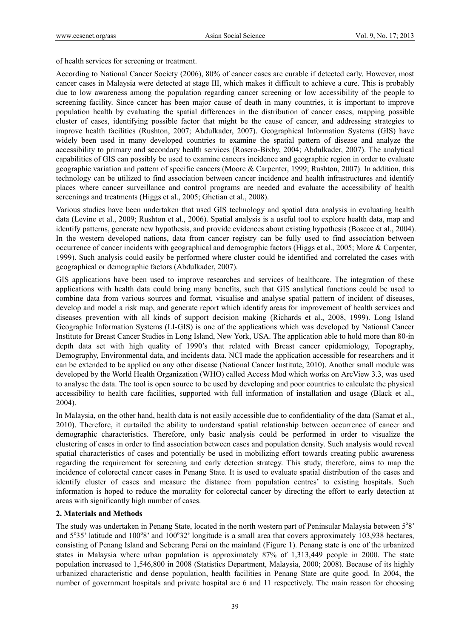of health services for screening or treatment.

According to National Cancer Society (2006), 80% of cancer cases are curable if detected early. However, most cancer cases in Malaysia were detected at stage III, which makes it difficult to achieve a cure. This is probably due to low awareness among the population regarding cancer screening or low accessibility of the people to screening facility. Since cancer has been major cause of death in many countries, it is important to improve population health by evaluating the spatial differences in the distribution of cancer cases, mapping possible cluster of cases, identifying possible factor that might be the cause of cancer, and addressing strategies to improve health facilities (Rushton, 2007; Abdulkader, 2007). Geographical Information Systems (GIS) have widely been used in many developed countries to examine the spatial pattern of disease and analyze the accessibility to primary and secondary health services (Rosero-Bixby, 2004; Abdulkader, 2007). The analytical capabilities of GIS can possibly be used to examine cancers incidence and geographic region in order to evaluate geographic variation and pattern of specific cancers (Moore & Carpenter, 1999; Rushton, 2007). In addition, this technology can be utilized to find association between cancer incidence and health infrastructures and identify places where cancer surveillance and control programs are needed and evaluate the accessibility of health screenings and treatments (Higgs et al., 2005; Ghetian et al., 2008).

Various studies have been undertaken that used GIS technology and spatial data analysis in evaluating health data (Levine et al., 2009; Rushton et al., 2006). Spatial analysis is a useful tool to explore health data, map and identify patterns, generate new hypothesis, and provide evidences about existing hypothesis (Boscoe et al., 2004). In the western developed nations, data from cancer registry can be fully used to find association between occurrence of cancer incidents with geographical and demographic factors (Higgs et al., 2005; More & Carpenter, 1999). Such analysis could easily be performed where cluster could be identified and correlated the cases with geographical or demographic factors (Abdulkader, 2007).

GIS applications have been used to improve researches and services of healthcare. The integration of these applications with health data could bring many benefits, such that GIS analytical functions could be used to combine data from various sources and format, visualise and analyse spatial pattern of incident of diseases, develop and model a risk map, and generate report which identify areas for improvement of health services and diseases prevention with all kinds of support decision making (Richards et al., 2008, 1999). Long Island Geographic Information Systems (LI-GIS) is one of the applications which was developed by National Cancer Institute for Breast Cancer Studies in Long Island, New York, USA. The application able to hold more than 80-in depth data set with high quality of 1990's that related with Breast cancer epidemiology, Topography, Demography, Environmental data, and incidents data. NCI made the application accessible for researchers and it can be extended to be applied on any other disease (National Cancer Institute, 2010). Another small module was developed by the World Health Organization (WHO) called Access Mod which works on ArcView 3.3, was used to analyse the data. The tool is open source to be used by developing and poor countries to calculate the physical accessibility to health care facilities, supported with full information of installation and usage (Black et al., 2004).

In Malaysia, on the other hand, health data is not easily accessible due to confidentiality of the data (Samat et al., 2010). Therefore, it curtailed the ability to understand spatial relationship between occurrence of cancer and demographic characteristics. Therefore, only basic analysis could be performed in order to visualize the clustering of cases in order to find association between cases and population density. Such analysis would reveal spatial characteristics of cases and potentially be used in mobilizing effort towards creating public awareness regarding the requirement for screening and early detection strategy. This study, therefore, aims to map the incidence of colorectal cancer cases in Penang State. It is used to evaluate spatial distribution of the cases and identify cluster of cases and measure the distance from population centres' to existing hospitals. Such information is hoped to reduce the mortality for colorectal cancer by directing the effort to early detection at areas with significantly high number of cases.

#### **2. Materials and Methods**

The study was undertaken in Penang State, located in the north western part of Peninsular Malaysia between 5°8' and 5°35' latitude and 100°8' and 100°32' longitude is a small area that covers approximately 103,938 hectares, consisting of Penang Island and Seberang Perai on the mainland (Figure 1). Penang state is one of the urbanized states in Malaysia where urban population is approximately 87% of 1,313,449 people in 2000. The state population increased to 1,546,800 in 2008 (Statistics Department, Malaysia, 2000; 2008). Because of its highly urbanized characteristic and dense population, health facilities in Penang State are quite good. In 2004, the number of government hospitals and private hospital are 6 and 11 respectively. The main reason for choosing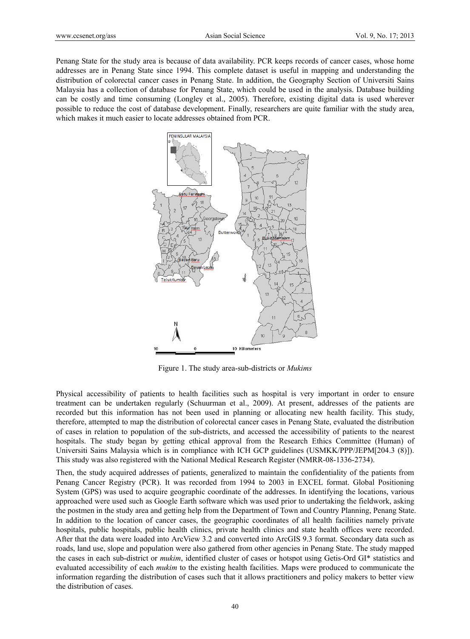Penang State for the study area is because of data availability. PCR keeps records of cancer cases, whose home addresses are in Penang State since 1994. This complete dataset is useful in mapping and understanding the distribution of colorectal cancer cases in Penang State. In addition, the Geography Section of Universiti Sains Malaysia has a collection of database for Penang State, which could be used in the analysis. Database building can be costly and time consuming (Longley et al., 2005). Therefore, existing digital data is used wherever possible to reduce the cost of database development. Finally, researchers are quite familiar with the study area, which makes it much easier to locate addresses obtained from PCR.



Figure 1. The study area-sub-districts or *Mukims*

Physical accessibility of patients to health facilities such as hospital is very important in order to ensure treatment can be undertaken regularly (Schuurman et al., 2009). At present, addresses of the patients are recorded but this information has not been used in planning or allocating new health facility. This study, therefore, attempted to map the distribution of colorectal cancer cases in Penang State, evaluated the distribution of cases in relation to population of the sub-districts, and accessed the accessibility of patients to the nearest hospitals. The study began by getting ethical approval from the Research Ethics Committee (Human) of Universiti Sains Malaysia which is in compliance with ICH GCP guidelines (USMKK/PPP/JEPM[204.3 (8)]). This study was also registered with the National Medical Research Register (NMRR-08-1336-2734).

Then, the study acquired addresses of patients, generalized to maintain the confidentiality of the patients from Penang Cancer Registry (PCR). It was recorded from 1994 to 2003 in EXCEL format. Global Positioning System (GPS) was used to acquire geographic coordinate of the addresses. In identifying the locations, various approached were used such as Google Earth software which was used prior to undertaking the fieldwork, asking the postmen in the study area and getting help from the Department of Town and Country Planning, Penang State. In addition to the location of cancer cases, the geographic coordinates of all health facilities namely private hospitals, public hospitals, public health clinics, private health clinics and state health offices were recorded. After that the data were loaded into ArcView 3.2 and converted into ArcGIS 9.3 format. Secondary data such as roads, land use, slope and population were also gathered from other agencies in Penang State. The study mapped the cases in each sub-district or *mukim*, identified cluster of cases or hotspot using Getis-Ord GI\* statistics and evaluated accessibility of each *mukim* to the existing health facilities. Maps were produced to communicate the information regarding the distribution of cases such that it allows practitioners and policy makers to better view the distribution of cases.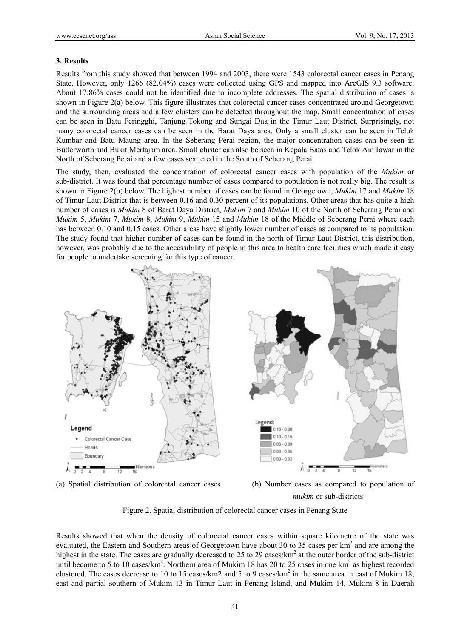#### **3. Results**

Results from this study showed that between 1994 and 2003, there were 1543 colorectal cancer cases in Penang State. However, only 1266 (82.04%) cases were collected using GPS and mapped into ArcGIS 9.3 software. About 17.86% cases could not be identified due to incomplete addresses. The spatial distribution of cases is shown in Figure 2(a) below. This figure illustrates that colorectal cancer cases concentrated around Georgetown and the surrounding areas and a few clusters can be detected throughout the map. Small concentration of cases can be seen in Batu Feringghi, Tanjung Tokong and Sungai Dua in the Timur Laut District. Surprisingly, not many colorectal cancer cases can be seen in the Barat Daya area. Only a small cluster can be seen in Teluk Kumbar and Batu Maung area. In the Seberang Perai region, the major concentration cases can be seen in Butterworth and Bukit Mertajam area. Small cluster can also be seen in Kepala Batas and Telok Air Tawar in the North of Seberang Perai and a few cases scattered in the South of Seberang Perai.

The study, then, evaluated the concentration of colorectal cancer cases with population of the *Mukim* or sub-district. It was found that percentage number of cases compared to population is not really big. The result is shown in Figure 2(b) below. The highest number of cases can be found in Georgetown, *Mukim* 17 and *Mukim* 18 of Timur Laut District that is between 0.16 and 0.30 percent of its populations. Other areas that has quite a high number of cases is *Mukim* 8 of Barat Daya District, *Mukim* 7 and *Mukim* 10 of the North of Seberang Perai and *Mukim* 5, *Mukim* 7, *Mukim* 8, *Mukim* 9, *Mukim* 15 and *Mukim* 18 of the Middle of Seberang Perai where each has between 0.10 and 0.15 cases. Other areas have slightly lower number of cases as compared to its population. The study found that higher number of cases can be found in the north of Timur Laut District, this distribution, however, was probably due to the accessibility of people in this area to health care facilities which made it easy for people to undertake screening for this type of cancer.



(a) Spatial distribution of colorectal cancer cases (b) Number cases as compared to population of *mukim* or sub-districts

Figure 2. Spatial distribution of colorectal cancer cases in Penang State

Results showed that when the density of colorectal cancer cases within square kilometre of the state was evaluated, the Eastern and Southern areas of Georgetown have about 30 to 35 cases per km<sup>2</sup> and are among the highest in the state. The cases are gradually decreased to 25 to 29 cases/ $km^2$  at the outer border of the sub-district until become to 5 to 10 cases/ $km^2$ . Northern area of Mukim 18 has 20 to 25 cases in one km<sup>2</sup> as highest recorded clustered. The cases decrease to 10 to 15 cases/km2 and 5 to 9 cases/km<sup>2</sup> in the same area in east of Mukim 18, east and partial southern of Mukim 13 in Timur Laut in Penang Island, and Mukim 14, Mukim 8 in Daerah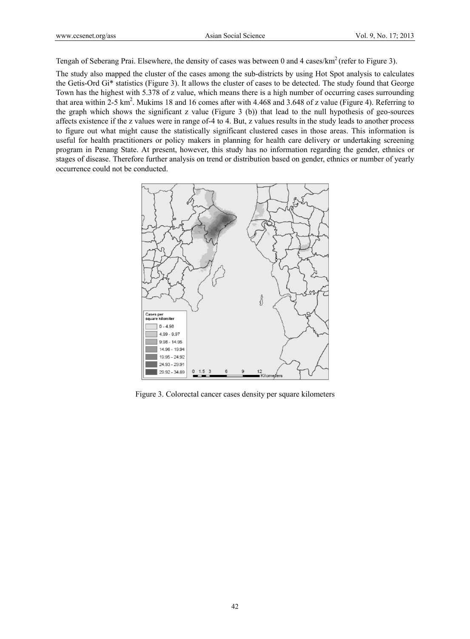Tengah of Seberang Prai. Elsewhere, the density of cases was between 0 and 4 cases/km<sup>2</sup> (refer to Figure 3).

The study also mapped the cluster of the cases among the sub-districts by using Hot Spot analysis to calculates the Getis-Ord Gi\* statistics (Figure 3). It allows the cluster of cases to be detected. The study found that George Town has the highest with 5.378 of z value, which means there is a high number of occurring cases surrounding that area within 2-5 km<sup>2</sup>. Mukims 18 and 16 comes after with 4.468 and 3.648 of z value (Figure 4). Referring to the graph which shows the significant z value (Figure 3 (b)) that lead to the null hypothesis of geo-sources affects existence if the z values were in range of-4 to 4. But, z values results in the study leads to another process to figure out what might cause the statistically significant clustered cases in those areas. This information is useful for health practitioners or policy makers in planning for health care delivery or undertaking screening program in Penang State. At present, however, this study has no information regarding the gender, ethnics or stages of disease. Therefore further analysis on trend or distribution based on gender, ethnics or number of yearly occurrence could not be conducted.



Figure 3. Colorectal cancer cases density per square kilometers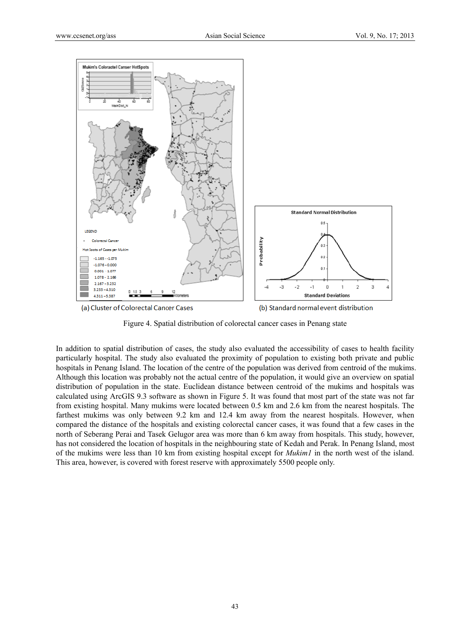

(a) Cluster of Colorectal Cancer Cases

(b) Standard normal event distribution

Figure 4. Spatial distribution of colorectal cancer cases in Penang state

In addition to spatial distribution of cases, the study also evaluated the accessibility of cases to health facility particularly hospital. The study also evaluated the proximity of population to existing both private and public hospitals in Penang Island. The location of the centre of the population was derived from centroid of the mukims. Although this location was probably not the actual centre of the population, it would give an overview on spatial distribution of population in the state. Euclidean distance between centroid of the mukims and hospitals was calculated using ArcGIS 9.3 software as shown in Figure 5. It was found that most part of the state was not far from existing hospital. Many mukims were located between 0.5 km and 2.6 km from the nearest hospitals. The farthest mukims was only between 9.2 km and 12.4 km away from the nearest hospitals. However, when compared the distance of the hospitals and existing colorectal cancer cases, it was found that a few cases in the north of Seberang Perai and Tasek Gelugor area was more than 6 km away from hospitals. This study, however, has not considered the location of hospitals in the neighbouring state of Kedah and Perak. In Penang Island, most of the mukims were less than 10 km from existing hospital except for *Mukim1* in the north west of the island. This area, however, is covered with forest reserve with approximately 5500 people only.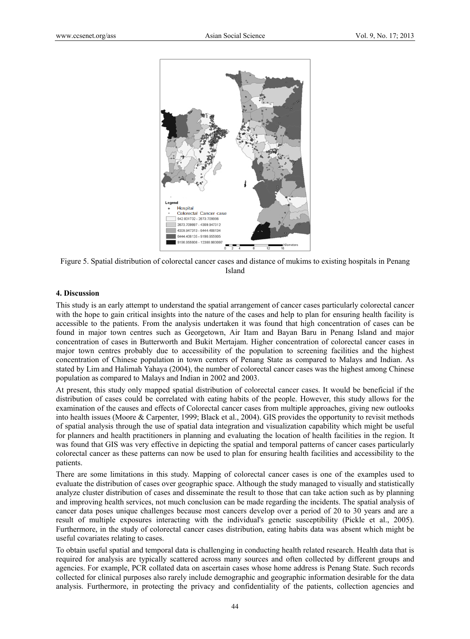

Figure 5. Spatial distribution of colorectal cancer cases and distance of mukims to existing hospitals in Penang Island

#### **4. Discussion**

This study is an early attempt to understand the spatial arrangement of cancer cases particularly colorectal cancer with the hope to gain critical insights into the nature of the cases and help to plan for ensuring health facility is accessible to the patients. From the analysis undertaken it was found that high concentration of cases can be found in major town centres such as Georgetown, Air Itam and Bayan Baru in Penang Island and major concentration of cases in Butterworth and Bukit Mertajam. Higher concentration of colorectal cancer cases in major town centres probably due to accessibility of the population to screening facilities and the highest concentration of Chinese population in town centers of Penang State as compared to Malays and Indian. As stated by Lim and Halimah Yahaya (2004), the number of colorectal cancer cases was the highest among Chinese population as compared to Malays and Indian in 2002 and 2003.

At present, this study only mapped spatial distribution of colorectal cancer cases. It would be beneficial if the distribution of cases could be correlated with eating habits of the people. However, this study allows for the examination of the causes and effects of Colorectal cancer cases from multiple approaches, giving new outlooks into health issues (Moore & Carpenter, 1999; Black et al., 2004). GIS provides the opportunity to revisit methods of spatial analysis through the use of spatial data integration and visualization capability which might be useful for planners and health practitioners in planning and evaluating the location of health facilities in the region. It was found that GIS was very effective in depicting the spatial and temporal patterns of cancer cases particularly colorectal cancer as these patterns can now be used to plan for ensuring health facilities and accessibility to the patients.

There are some limitations in this study. Mapping of colorectal cancer cases is one of the examples used to evaluate the distribution of cases over geographic space. Although the study managed to visually and statistically analyze cluster distribution of cases and disseminate the result to those that can take action such as by planning and improving health services, not much conclusion can be made regarding the incidents. The spatial analysis of cancer data poses unique challenges because most cancers develop over a period of 20 to 30 years and are a result of multiple exposures interacting with the individual's genetic susceptibility (Pickle et al., 2005). Furthermore, in the study of colorectal cancer cases distribution, eating habits data was absent which might be useful covariates relating to cases.

To obtain useful spatial and temporal data is challenging in conducting health related research. Health data that is required for analysis are typically scattered across many sources and often collected by different groups and agencies. For example, PCR collated data on ascertain cases whose home address is Penang State. Such records collected for clinical purposes also rarely include demographic and geographic information desirable for the data analysis. Furthermore, in protecting the privacy and confidentiality of the patients, collection agencies and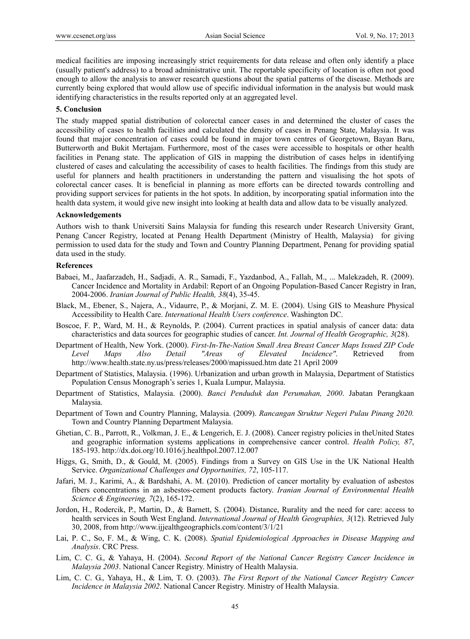medical facilities are imposing increasingly strict requirements for data release and often only identify a place (usually patient's address) to a broad administrative unit. The reportable specificity of location is often not good enough to allow the analysis to answer research questions about the spatial patterns of the disease. Methods are currently being explored that would allow use of specific individual information in the analysis but would mask identifying characteristics in the results reported only at an aggregated level.

## **5. Conclusion**

The study mapped spatial distribution of colorectal cancer cases in and determined the cluster of cases the accessibility of cases to health facilities and calculated the density of cases in Penang State, Malaysia. It was found that major concentration of cases could be found in major town centres of Georgetown, Bayan Baru, Butterworth and Bukit Mertajam. Furthermore, most of the cases were accessible to hospitals or other health facilities in Penang state. The application of GIS in mapping the distribution of cases helps in identifying clustered of cases and calculating the accessibility of cases to health facilities. The findings from this study are useful for planners and health practitioners in understanding the pattern and visualising the hot spots of colorectal cancer cases. It is beneficial in planning as more efforts can be directed towards controlling and providing support services for patients in the hot spots. In addition, by incorporating spatial information into the health data system, it would give new insight into looking at health data and allow data to be visually analyzed.

#### **Acknowledgements**

Authors wish to thank Universiti Sains Malaysia for funding this research under Research University Grant, Penang Cancer Registry, located at Penang Health Department (Ministry of Health, Malaysia) for giving permission to used data for the study and Town and Country Planning Department, Penang for providing spatial data used in the study.

#### **References**

- Babaei, M., Jaafarzadeh, H., Sadjadi, A. R., Samadi, F., Yazdanbod, A., Fallah, M., ... Malekzadeh, R. (2009). Cancer Incidence and Mortality in Ardabil: Report of an Ongoing Population-Based Cancer Registry in Iran, 2004-2006. *Iranian Journal of Public Health, 38*(4), 35-45.
- Black, M., Ebener, S., Najera, A., Vidaurre, P., & Morjani, Z. M. E. (2004). Using GIS to Meashure Physical Accessibility to Health Care. *International Health Users conference*. Washington DC.
- Boscoe, F. P., Ward, M. H., & Reynolds, P. (2004). Current practices in spatial analysis of cancer data: data characteristics and data sources for geographic studies of cancer. *Int. Journal of Health Geographic, 3*(28).
- Department of Health, New York. (2000). *First-In-The-Nation Small Area Breast Cancer Maps Issued ZIP Code Level Maps Also Detail "Areas of Elevated Incidence"*. Retrieved from http://www.health.state.ny.us/press/releases/2000/mapissued.htm date 21 April 2009
- Department of Statistics, Malaysia. (1996). Urbanization and urban growth in Malaysia, Department of Statistics Population Census Monograph's series 1, Kuala Lumpur, Malaysia.
- Department of Statistics, Malaysia. (2000). *Banci Penduduk dan Perumahan, 2000*. Jabatan Perangkaan Malaysia.
- Department of Town and Country Planning, Malaysia. (2009). *Rancangan Struktur Negeri Pulau Pinang 2020.* Town and Country Planning Department Malaysia.
- Ghetian, C. B., Parrott, R., Volkman, J. E., & Lengerich, E. J. (2008). Cancer registry policies in theUnited States and geographic information systems applications in comprehensive cancer control. *Health Policy, 87*, 185-193. http://dx.doi.org/10.1016/j.healthpol.2007.12.007
- Higgs, G., Smith, D., & Gould, M. (2005). Findings from a Survey on GIS Use in the UK National Health Service. *Organizational Challenges and Opportunities, 72*, 105-117.
- Jafari, M. J., Karimi, A., & Bardshahi, A. M. (2010). Prediction of cancer mortality by evaluation of asbestos fibers concentrations in an asbestos-cement products factory. *Iranian Journal of Environmental Health Science & Engineering, 7*(2), 165-172.
- Jordon, H., Rodercik, P., Martin, D., & Barnett, S. (2004). Distance, Rurality and the need for care: access to health services in South West England. *International Journal of Health Geographies, 3*(12). Retrieved July 30, 2008, from http://www.ijjealthgeographicls.com/content/3/1/21
- Lai, P. C., So, F. M., & Wing, C. K. (2008). *Spatial Epidemiological Approaches in Disease Mapping and Analysis*. CRC Press.
- Lim, C. C. G., & Yahaya, H. (2004). *Second Report of the National Cancer Registry Cancer Incidence in Malaysia 2003*. National Cancer Registry. Ministry of Health Malaysia.
- Lim, C. C. G., Yahaya, H., & Lim, T. O. (2003). *The First Report of the National Cancer Registry Cancer Incidence in Malaysia 2002*. National Cancer Registry. Ministry of Health Malaysia.